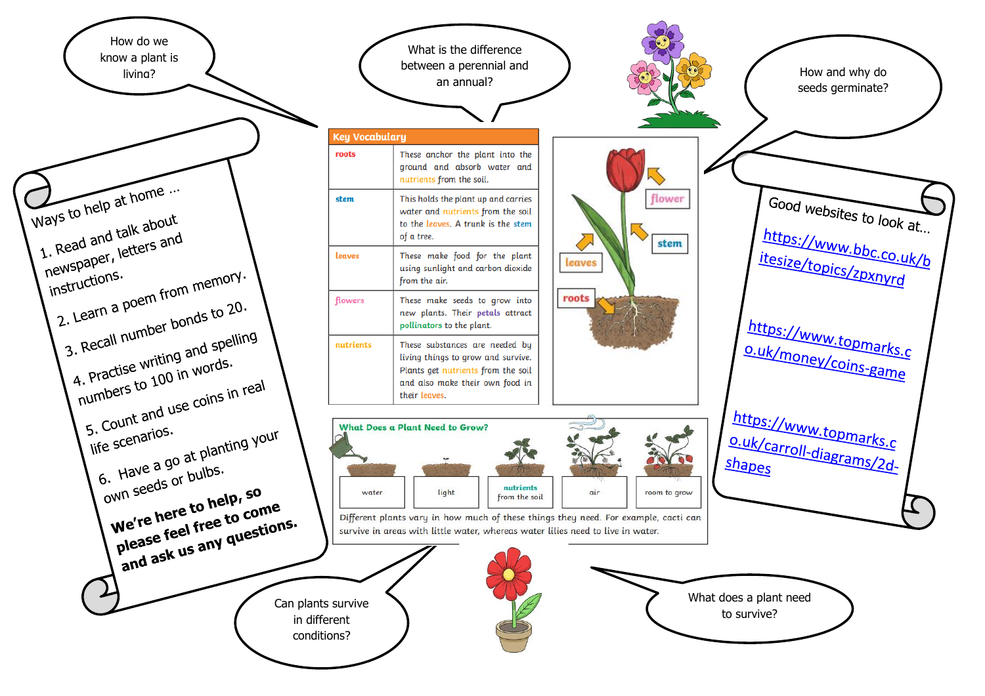